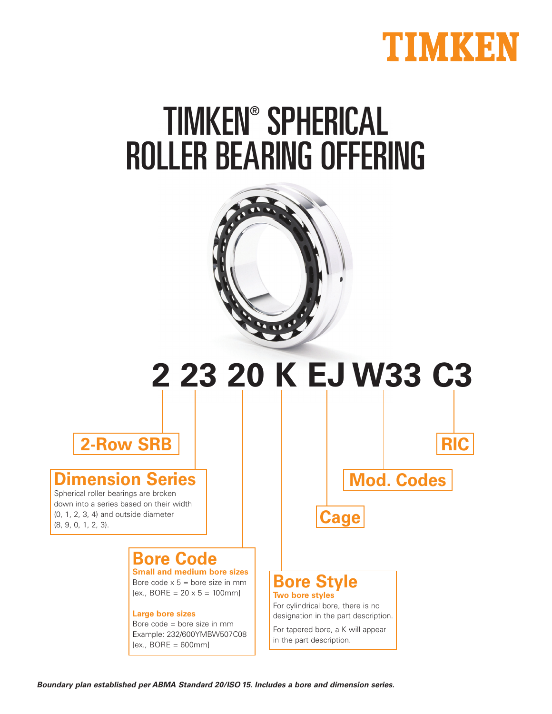

# TIMKEN® SPHERICAL ROLLER BEARING OFFERING



# **2 23 20 K EJ W33 C3**

**2-Row SRB**

#### **Dimension Series**

Spherical roller bearings are broken down into a series based on their width (0, 1, 2, 3, 4) and outside diameter (8, 9, 0, 1, 2, 3).

## **Bore Code**

**Small and medium bore sizes** Bore code  $x 5 =$  bore size in mm  $[ex., BORE = 20 \times 5 = 100$ mml

#### **Large bore sizes**

Bore code = bore size in mm Example: 232/600YMBW507C08  $[ex., BORE = 600mm]$ 

**Mod. Codes**

**RIC**



#### **Bore Style Two bore styles**

For cylindrical bore, there is no designation in the part description.

For tapered bore, a K will appear in the part description.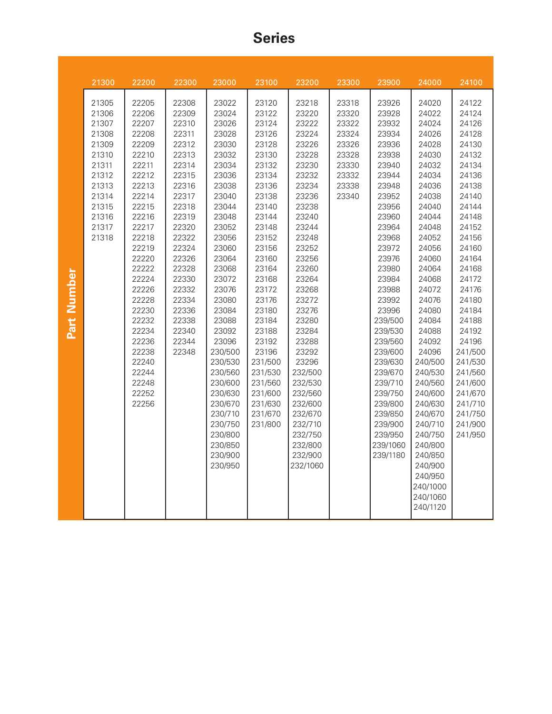#### **Series**

|             | 21300                                                                                                                      | 22200                                                                                                                                                                                                                                                                      | 22300                                                                                                                                                                                                                         | 23000                                                                                                                                                                                                                                                                                                                                                    | 23100                                                                                                                                                                                                                                                                                                      | 23200                                                                                                                                                                                                                                                                                                                                                 | 23300                                                                                  | 23900                                                                                                                                                                                                                                                                                                                                                 | 24000                                                                                                                                                                                                                                                                                                                                                                                                 | 24100                                                                                                                                                                                                                                                                                                                   |
|-------------|----------------------------------------------------------------------------------------------------------------------------|----------------------------------------------------------------------------------------------------------------------------------------------------------------------------------------------------------------------------------------------------------------------------|-------------------------------------------------------------------------------------------------------------------------------------------------------------------------------------------------------------------------------|----------------------------------------------------------------------------------------------------------------------------------------------------------------------------------------------------------------------------------------------------------------------------------------------------------------------------------------------------------|------------------------------------------------------------------------------------------------------------------------------------------------------------------------------------------------------------------------------------------------------------------------------------------------------------|-------------------------------------------------------------------------------------------------------------------------------------------------------------------------------------------------------------------------------------------------------------------------------------------------------------------------------------------------------|----------------------------------------------------------------------------------------|-------------------------------------------------------------------------------------------------------------------------------------------------------------------------------------------------------------------------------------------------------------------------------------------------------------------------------------------------------|-------------------------------------------------------------------------------------------------------------------------------------------------------------------------------------------------------------------------------------------------------------------------------------------------------------------------------------------------------------------------------------------------------|-------------------------------------------------------------------------------------------------------------------------------------------------------------------------------------------------------------------------------------------------------------------------------------------------------------------------|
| Part Number | 21305<br>21306<br>21307<br>21308<br>21309<br>21310<br>21311<br>21312<br>21313<br>21314<br>21315<br>21316<br>21317<br>21318 | 22205<br>22206<br>22207<br>22208<br>22209<br>22210<br>22211<br>22212<br>22213<br>22214<br>22215<br>22216<br>22217<br>22218<br>22219<br>22220<br>22222<br>22224<br>22226<br>22228<br>22230<br>22232<br>22234<br>22236<br>22238<br>22240<br>22244<br>22248<br>22252<br>22256 | 22308<br>22309<br>22310<br>22311<br>22312<br>22313<br>22314<br>22315<br>22316<br>22317<br>22318<br>22319<br>22320<br>22322<br>22324<br>22326<br>22328<br>22330<br>22332<br>22334<br>22336<br>22338<br>22340<br>22344<br>22348 | 23022<br>23024<br>23026<br>23028<br>23030<br>23032<br>23034<br>23036<br>23038<br>23040<br>23044<br>23048<br>23052<br>23056<br>23060<br>23064<br>23068<br>23072<br>23076<br>23080<br>23084<br>23088<br>23092<br>23096<br>230/500<br>230/530<br>230/560<br>230/600<br>230/630<br>230/670<br>230/710<br>230/750<br>230/800<br>230/850<br>230/900<br>230/950 | 23120<br>23122<br>23124<br>23126<br>23128<br>23130<br>23132<br>23134<br>23136<br>23138<br>23140<br>23144<br>23148<br>23152<br>23156<br>23160<br>23164<br>23168<br>23172<br>23176<br>23180<br>23184<br>23188<br>23192<br>23196<br>231/500<br>231/530<br>231/560<br>231/600<br>231/630<br>231/670<br>231/800 | 23218<br>23220<br>23222<br>23224<br>23226<br>23228<br>23230<br>23232<br>23234<br>23236<br>23238<br>23240<br>23244<br>23248<br>23252<br>23256<br>23260<br>23264<br>23268<br>23272<br>23276<br>23280<br>23284<br>23288<br>23292<br>23296<br>232/500<br>232/530<br>232/560<br>232/600<br>232/670<br>232/710<br>232/750<br>232/800<br>232/900<br>232/1060 | 23318<br>23320<br>23322<br>23324<br>23326<br>23328<br>23330<br>23332<br>23338<br>23340 | 23926<br>23928<br>23932<br>23934<br>23936<br>23938<br>23940<br>23944<br>23948<br>23952<br>23956<br>23960<br>23964<br>23968<br>23972<br>23976<br>23980<br>23984<br>23988<br>23992<br>23996<br>239/500<br>239/530<br>239/560<br>239/600<br>239/630<br>239/670<br>239/710<br>239/750<br>239/800<br>239/850<br>239/900<br>239/950<br>239/1060<br>239/1180 | 24020<br>24022<br>24024<br>24026<br>24028<br>24030<br>24032<br>24034<br>24036<br>24038<br>24040<br>24044<br>24048<br>24052<br>24056<br>24060<br>24064<br>24068<br>24072<br>24076<br>24080<br>24084<br>24088<br>24092<br>24096<br>240/500<br>240/530<br>240/560<br>240/600<br>240/630<br>240/670<br>240/710<br>240/750<br>240/800<br>240/850<br>240/900<br>240/950<br>240/1000<br>240/1060<br>240/1120 | 24122<br>24124<br>24126<br>24128<br>24130<br>24132<br>24134<br>24136<br>24138<br>24140<br>24144<br>24148<br>24152<br>24156<br>24160<br>24164<br>24168<br>24172<br>24176<br>24180<br>24184<br>24188<br>24192<br>24196<br>241/500<br>241/530<br>241/560<br>241/600<br>241/670<br>241/710<br>241/750<br>241/900<br>241/950 |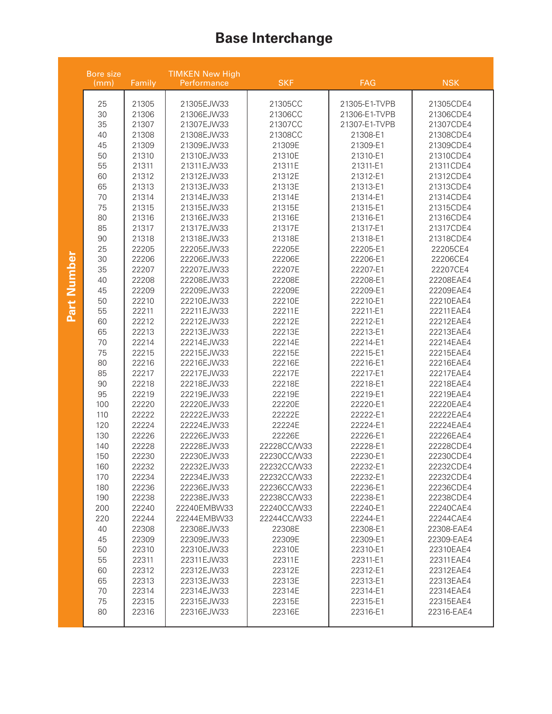## **Base Interchange**

|             | <b>TIMKEN New High</b><br>Bore size<br>Family<br>(mm)<br>Performance |       | <b>SKF</b>  | FAG         | <b>NSK</b>    |            |
|-------------|----------------------------------------------------------------------|-------|-------------|-------------|---------------|------------|
| Part Number | 25                                                                   | 21305 | 21305EJW33  | 21305CC     | 21305-E1-TVPB | 21305CDE4  |
|             | 30                                                                   | 21306 | 21306EJW33  | 21306CC     | 21306-E1-TVPB | 21306CDE4  |
|             | 35                                                                   | 21307 | 21307EJW33  | 21307CC     | 21307-E1-TVPB | 21307CDE4  |
|             | 40                                                                   | 21308 | 21308EJW33  | 21308CC     | 21308-E1      | 21308CDE4  |
|             | 45                                                                   | 21309 | 21309EJW33  | 21309E      | 21309-E1      | 21309CDE4  |
|             | 50                                                                   | 21310 | 21310EJW33  | 21310E      | 21310-E1      | 21310CDE4  |
|             | 55                                                                   | 21311 | 21311EJW33  | 21311E      | 21311-E1      | 21311CDE4  |
|             | 60                                                                   | 21312 | 21312EJW33  | 21312E      | 21312-E1      | 21312CDE4  |
|             | 65                                                                   | 21313 | 21313EJW33  | 21313E      | 21313-E1      | 21313CDE4  |
|             | 70                                                                   | 21314 | 21314EJW33  | 21314E      | 21314-E1      | 21314CDE4  |
|             | 75                                                                   | 21315 | 21315EJW33  | 21315E      | 21315-E1      | 21315CDE4  |
|             | 80                                                                   | 21316 | 21316EJW33  | 21316E      | 21316-E1      | 21316CDE4  |
|             | 85                                                                   | 21317 | 21317EJW33  | 21317E      | 21317-E1      | 21317CDE4  |
|             | 90                                                                   | 21318 | 21318EJW33  | 21318E      | 21318-E1      | 21318CDE4  |
|             | 25                                                                   | 22205 | 22205EJW33  | 22205E      | 22205-E1      | 22205CE4   |
|             | 30                                                                   | 22206 | 22206EJW33  | 22206E      | 22206-E1      | 22206CE4   |
|             | 35                                                                   | 22207 | 22207EJW33  | 22207E      | 22207-E1      | 22207CE4   |
|             | 40                                                                   | 22208 | 22208EJW33  | 22208E      | 22208-E1      | 22208EAE4  |
|             | 45                                                                   | 22209 | 22209EJW33  | 22209E      | 22209-E1      | 22209EAE4  |
|             | 50                                                                   | 22210 | 22210EJW33  | 22210E      | 22210-E1      | 22210EAE4  |
|             | 55                                                                   | 22211 | 22211EJW33  | 22211E      | 22211-E1      | 22211EAE4  |
|             | 60                                                                   | 22212 | 22212EJW33  | 22212E      | 22212-E1      | 22212EAE4  |
|             | 65                                                                   | 22213 | 22213EJW33  | 22213E      | 22213-E1      | 22213EAE4  |
|             | 70                                                                   | 22214 | 22214EJW33  | 22214E      | 22214-E1      | 22214EAE4  |
|             | 75                                                                   | 22215 | 22215EJW33  | 22215E      | 22215-E1      | 22215EAE4  |
|             | 80                                                                   | 22216 | 22216EJW33  | 22216E      | 22216-E1      | 22216EAE4  |
|             | 85                                                                   | 22217 | 22217EJW33  | 22217E      | 22217-E1      | 22217EAE4  |
|             | 90                                                                   | 22218 | 22218EJW33  | 22218E      | 22218-E1      | 22218EAE4  |
|             | 95                                                                   | 22219 | 22219EJW33  | 22219E      | 22219-E1      | 22219EAE4  |
|             | 100                                                                  | 22220 | 22220EJW33  | 22220E      | 22220-E1      | 22220EAE4  |
|             | 110                                                                  | 22222 | 22222EJW33  | 22222E      | 22222-E1      | 22222EAE4  |
|             | 120                                                                  | 22224 | 22224EJW33  | 22224E      | 22224-E1      | 22224EAE4  |
|             | 130                                                                  | 22226 | 22226EJW33  | 22226E      | 22226-E1      | 22226EAE4  |
|             | 140                                                                  | 22228 | 22228EJW33  | 22228CC/W33 | 22228-E1      | 22228CDE4  |
|             | 150                                                                  | 22230 | 22230EJW33  | 22230CC/W33 | 22230-E1      | 22230CDE4  |
|             | 160                                                                  | 22232 | 22232EJW33  | 22232CC/W33 | 22232-E1      | 22232CDE4  |
|             | 170                                                                  | 22234 | 22234EJW33  | 22232CC/W33 | 22232-E1      | 22232CDE4  |
|             | 180                                                                  | 22236 | 22236EJW33  | 22236CC/W33 | 22236-E1      | 22236CDE4  |
|             | 190                                                                  | 22238 | 22238EJW33  | 22238CC/W33 | 22238-E1      | 22238CDE4  |
|             | 200                                                                  | 22240 | 22240EMBW33 | 22240CC/W33 | 22240-E1      | 22240CAE4  |
|             | 220                                                                  | 22244 | 22244EMBW33 | 22244CC/W33 | 22244-E1      | 22244CAE4  |
|             | 40                                                                   | 22308 | 22308EJW33  | 22308E      | 22308-E1      | 22308-EAE4 |
|             | 45                                                                   | 22309 | 22309EJW33  | 22309E      | 22309-E1      | 22309-EAE4 |
|             | 50                                                                   | 22310 | 22310EJW33  | 22310E      | 22310-E1      | 22310EAE4  |
|             | 55                                                                   | 22311 | 22311EJW33  | 22311E      | 22311-E1      | 22311EAE4  |
|             | 60                                                                   | 22312 | 22312EJW33  | 22312E      | 22312-E1      | 22312EAE4  |
|             | 65                                                                   | 22313 | 22313EJW33  | 22313E      | 22313-E1      | 22313EAE4  |
|             | 70                                                                   | 22314 | 22314EJW33  | 22314E      | 22314-E1      | 22314EAE4  |
|             | 75                                                                   | 22315 | 22315EJW33  | 22315E      | 22315-E1      | 22315EAE4  |
|             | 80                                                                   | 22316 | 22316EJW33  | 22316E      | 22316-E1      | 22316-EAE4 |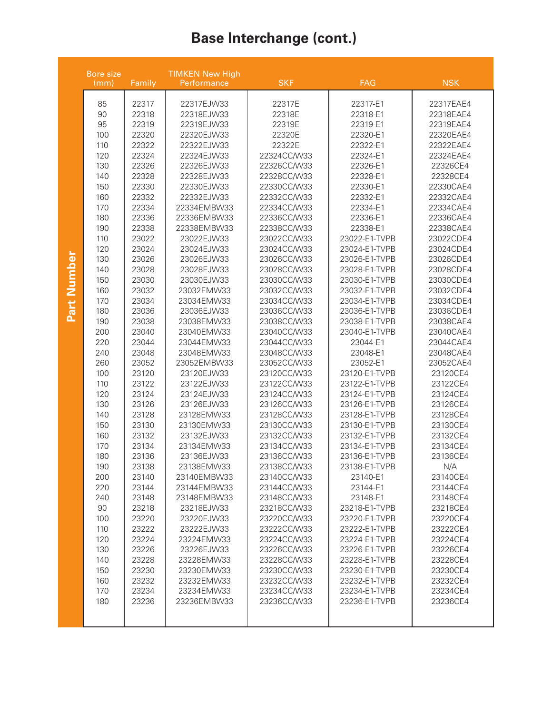## **Base Interchange (cont.)**

|                | <b>TIMKEN New High</b><br><b>Bore size</b><br>Family<br>Performance<br>(mm)                                                                                                                                                                                                                                                                     |                                                                                                                                                                                                                                                                                                                                                                                                                                                       | <b>SKF</b>                                                                                                                                                                                                                                                                                                                                                                                                                                                                                                                                                                                                                                                                                                         | FAG                                                                                                                                                                                                                                                                                                                                                                                                                                                                                                                                                                                                                                                                                                                                | <b>NSK</b>                                                                                                                                                                                                                                                                                                                                                                                                                                                                                                                                                                                                                                                                                                                                                     |                                                                                                                                                                                                                                                                                                                                                                                                                                                                                                                                                                                                                             |
|----------------|-------------------------------------------------------------------------------------------------------------------------------------------------------------------------------------------------------------------------------------------------------------------------------------------------------------------------------------------------|-------------------------------------------------------------------------------------------------------------------------------------------------------------------------------------------------------------------------------------------------------------------------------------------------------------------------------------------------------------------------------------------------------------------------------------------------------|--------------------------------------------------------------------------------------------------------------------------------------------------------------------------------------------------------------------------------------------------------------------------------------------------------------------------------------------------------------------------------------------------------------------------------------------------------------------------------------------------------------------------------------------------------------------------------------------------------------------------------------------------------------------------------------------------------------------|------------------------------------------------------------------------------------------------------------------------------------------------------------------------------------------------------------------------------------------------------------------------------------------------------------------------------------------------------------------------------------------------------------------------------------------------------------------------------------------------------------------------------------------------------------------------------------------------------------------------------------------------------------------------------------------------------------------------------------|----------------------------------------------------------------------------------------------------------------------------------------------------------------------------------------------------------------------------------------------------------------------------------------------------------------------------------------------------------------------------------------------------------------------------------------------------------------------------------------------------------------------------------------------------------------------------------------------------------------------------------------------------------------------------------------------------------------------------------------------------------------|-----------------------------------------------------------------------------------------------------------------------------------------------------------------------------------------------------------------------------------------------------------------------------------------------------------------------------------------------------------------------------------------------------------------------------------------------------------------------------------------------------------------------------------------------------------------------------------------------------------------------------|
| Number<br>Part | 85<br>90<br>95<br>100<br>110<br>120<br>130<br>140<br>150<br>160<br>170<br>180<br>190<br>110<br>120<br>130<br>140<br>150<br>160<br>170<br>180<br>190<br>200<br>220<br>240<br>260<br>100<br>110<br>120<br>130<br>140<br>150<br>160<br>170<br>180<br>190<br>200<br>220<br>240<br>90<br>100<br>110<br>120<br>130<br>140<br>150<br>160<br>170<br>180 | 22317<br>22318<br>22319<br>22320<br>22322<br>22324<br>22326<br>22328<br>22330<br>22332<br>22334<br>22336<br>22338<br>23022<br>23024<br>23026<br>23028<br>23030<br>23032<br>23034<br>23036<br>23038<br>23040<br>23044<br>23048<br>23052<br>23120<br>23122<br>23124<br>23126<br>23128<br>23130<br>23132<br>23134<br>23136<br>23138<br>23140<br>23144<br>23148<br>23218<br>23220<br>23222<br>23224<br>23226<br>23228<br>23230<br>23232<br>23234<br>23236 | 22317EJW33<br>22318EJW33<br>22319EJW33<br>22320EJW33<br>22322EJW33<br>22324EJW33<br>22326EJW33<br>22328EJW33<br>22330EJW33<br>22332EJW33<br>22334EMBW33<br>22336EMBW33<br>22338EMBW33<br>23022EJW33<br>23024EJW33<br>23026EJW33<br>23028EJW33<br>23030EJW33<br>23032EMW33<br>23034EMW33<br>23036EJW33<br>23038EMW33<br>23040EMW33<br>23044EMW33<br>23048EMW33<br>23052EMBW33<br>23120EJW33<br>23122EJW33<br>23124EJW33<br>23126EJW33<br>23128EMW33<br>23130EMW33<br>23132EJW33<br>23134EMW33<br>23136EJW33<br>23138EMW33<br>23140EMBW33<br>23144EMBW33<br>23148EMBW33<br>23218EJW33<br>23220EJW33<br>23222EJW33<br>23224EMW33<br>23226EJW33<br>23228EMW33<br>23230EMW33<br>23232EMW33<br>23234EMW33<br>23236EMBW33 | 22317E<br>22318E<br>22319E<br>22320E<br>22322E<br>22324CC/W33<br>22326CC/W33<br>22328CC/W33<br>22330CC/W33<br>22332CC/W33<br>22334CC/W33<br>22336CC/W33<br>22338CC/W33<br>23022CC/W33<br>23024CC/W33<br>23026CC/W33<br>23028CC/W33<br>23030CC/W33<br>23032CC/W33<br>23034CC/W33<br>23036CC/W33<br>23038CC/W33<br>23040CC/W33<br>23044CC/W33<br>23048CC/W33<br>23052CC/W33<br>23120CC/W33<br>23122CC/W33<br>23124CC/W33<br>23126CC/W33<br>23128CC/W33<br>23130CC/W33<br>23132CC/W33<br>23134CC/W33<br>23136CC/W33<br>23138CC/W33<br>23140CC/W33<br>23144CC/W33<br>23148CC/W33<br>23218CC/W33<br>23220CC/W33<br>23222CC/W33<br>23224CC/W33<br>23226CC/W33<br>23228CC/W33<br>23230CC/W33<br>23232CC/W33<br>23234CC/W33<br>23236CC/W33 | 22317-E1<br>22318-E1<br>22319-E1<br>22320-E1<br>22322-E1<br>22324-E1<br>22326-E1<br>22328-E1<br>22330-E1<br>22332-E1<br>22334-E1<br>22336-E1<br>22338-E1<br>23022-E1-TVPB<br>23024-E1-TVPB<br>23026-E1-TVPB<br>23028-E1-TVPB<br>23030-E1-TVPB<br>23032-E1-TVPB<br>23034-E1-TVPB<br>23036-E1-TVPB<br>23038-E1-TVPB<br>23040-E1-TVPB<br>23044-E1<br>23048-E1<br>23052-E1<br>23120-E1-TVPB<br>23122-E1-TVPB<br>23124-E1-TVPB<br>23126-E1-TVPB<br>23128-E1-TVPB<br>23130-E1-TVPB<br>23132-E1-TVPB<br>23134-E1-TVPB<br>23136-E1-TVPB<br>23138-E1-TVPB<br>23140-E1<br>23144-E1<br>23148-E1<br>23218-E1-TVPB<br>23220-E1-TVPB<br>23222-E1-TVPB<br>23224-E1-TVPB<br>23226-E1-TVPB<br>23228-E1-TVPB<br>23230-E1-TVPB<br>23232-E1-TVPB<br>23234-E1-TVPB<br>23236-E1-TVPB | 22317EAE4<br>22318EAE4<br>22319EAE4<br>22320EAE4<br>22322EAE4<br>22324EAE4<br>22326CE4<br>22328CE4<br>22330CAE4<br>22332CAE4<br>22334CAE4<br>22336CAE4<br>22338CAE4<br>23022CDE4<br>23024CDE4<br>23026CDE4<br>23028CDE4<br>23030CDE4<br>23032CDE4<br>23034CDE4<br>23036CDE4<br>23038CAE4<br>23040CAE4<br>23044CAE4<br>23048CAE4<br>23052CAE4<br>23120CE4<br>23122CE4<br>23124CE4<br>23126CE4<br>23128CE4<br>23130CE4<br>23132CE4<br>23134CE4<br>23136CE4<br>N/A<br>23140CE4<br>23144CE4<br>23148CE4<br>23218CE4<br>23220CE4<br>23222CE4<br>23224CE4<br>23226CE4<br>23228CE4<br>23230CE4<br>23232CE4<br>23234CE4<br>23236CE4 |
|                |                                                                                                                                                                                                                                                                                                                                                 |                                                                                                                                                                                                                                                                                                                                                                                                                                                       |                                                                                                                                                                                                                                                                                                                                                                                                                                                                                                                                                                                                                                                                                                                    |                                                                                                                                                                                                                                                                                                                                                                                                                                                                                                                                                                                                                                                                                                                                    |                                                                                                                                                                                                                                                                                                                                                                                                                                                                                                                                                                                                                                                                                                                                                                |                                                                                                                                                                                                                                                                                                                                                                                                                                                                                                                                                                                                                             |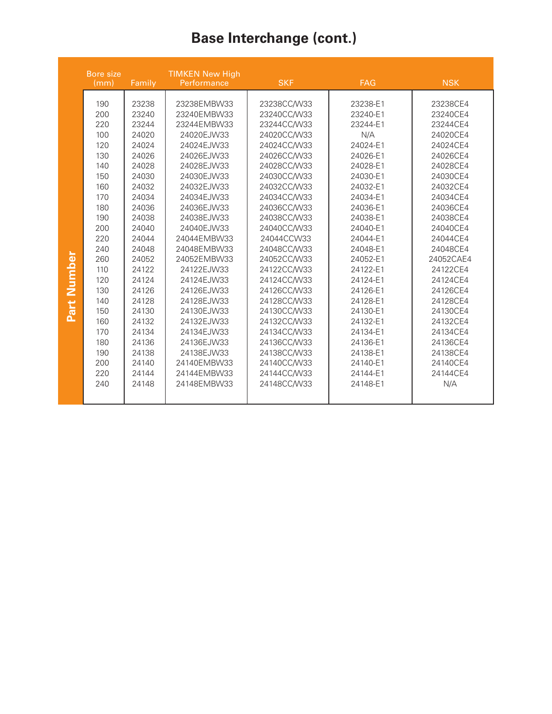## **Base Interchange (cont.)**

|                | <b>TIMKEN New High</b><br><b>Bore size</b><br>(mm)<br>Family<br>Performance                                                                                                                      |                                                                                                                                                                                                                                                          | <b>SKF</b>                                                                                                                                                                                                                                                                                                                                                                                                    | <b>FAG</b>                                                                                                                                                                                                                                                                                                                                                                                                                      | <b>NSK</b>                                                                                                                                                                                                                                                                                                                              |                                                                                                                                                                                                                                                                                                                                          |
|----------------|--------------------------------------------------------------------------------------------------------------------------------------------------------------------------------------------------|----------------------------------------------------------------------------------------------------------------------------------------------------------------------------------------------------------------------------------------------------------|---------------------------------------------------------------------------------------------------------------------------------------------------------------------------------------------------------------------------------------------------------------------------------------------------------------------------------------------------------------------------------------------------------------|---------------------------------------------------------------------------------------------------------------------------------------------------------------------------------------------------------------------------------------------------------------------------------------------------------------------------------------------------------------------------------------------------------------------------------|-----------------------------------------------------------------------------------------------------------------------------------------------------------------------------------------------------------------------------------------------------------------------------------------------------------------------------------------|------------------------------------------------------------------------------------------------------------------------------------------------------------------------------------------------------------------------------------------------------------------------------------------------------------------------------------------|
| Number<br>Part | 190<br>200<br>220<br>100<br>120<br>130<br>140<br>150<br>160<br>170<br>180<br>190<br>200<br>220<br>240<br>260<br>110<br>120<br>130<br>140<br>150<br>160<br>170<br>180<br>190<br>200<br>220<br>240 | 23238<br>23240<br>23244<br>24020<br>24024<br>24026<br>24028<br>24030<br>24032<br>24034<br>24036<br>24038<br>24040<br>24044<br>24048<br>24052<br>24122<br>24124<br>24126<br>24128<br>24130<br>24132<br>24134<br>24136<br>24138<br>24140<br>24144<br>24148 | 23238EMBW33<br>23240EMBW33<br>23244EMBW33<br>24020EJW33<br>24024EJW33<br>24026EJW33<br>24028EJW33<br>24030EJW33<br>24032EJW33<br>24034EJW33<br>24036EJW33<br>24038EJW33<br>24040EJW33<br>24044EMBW33<br>24048EMBW33<br>24052EMBW33<br>24122EJW33<br>24124EJW33<br>24126EJW33<br>24128EJW33<br>24130EJW33<br>24132EJW33<br>24134EJW33<br>24136EJW33<br>24138EJW33<br>24140EMBW33<br>24144EMBW33<br>24148EMBW33 | 23238CC/W33<br>23240CC/W33<br>23244CC/W33<br>24020CC/W33<br>24024CC/W33<br>24026CC/W33<br>24028CC/W33<br>24030CC/W33<br>24032CC/W33<br>24034CC/W33<br>24036CC/W33<br>24038CC/W33<br>24040CC/W33<br>24044CCW33<br>24048CC/W33<br>24052CC/W33<br>24122CC/W33<br>24124CC/W33<br>24126CC/W33<br>24128CC/W33<br>24130CC/W33<br>24132CC/W33<br>24134CC/W33<br>24136CC/W33<br>24138CC/W33<br>24140CC/W33<br>24144CC/W33<br>24148CC/W33 | 23238-E1<br>23240-E1<br>23244-E1<br>N/A<br>24024-E1<br>24026-E1<br>24028-E1<br>24030-E1<br>24032-E1<br>24034-E1<br>24036-E1<br>24038-E1<br>24040-E1<br>24044-E1<br>24048-E1<br>24052-E1<br>24122-E1<br>24124-E1<br>24126-E1<br>24128-E1<br>24130-E1<br>24132-E1<br>24134-E1<br>24136-E1<br>24138-E1<br>24140-E1<br>24144-E1<br>24148-E1 | 23238CE4<br>23240CE4<br>23244CE4<br>24020CE4<br>24024CE4<br>24026CE4<br>24028CE4<br>24030CE4<br>24032CE4<br>24034CE4<br>24036CE4<br>24038CE4<br>24040CE4<br>24044CE4<br>24048CE4<br>24052CAE4<br>24122CE4<br>24124CE4<br>24126CE4<br>24128CE4<br>24130CE4<br>24132CE4<br>24134CE4<br>24136CE4<br>24138CE4<br>24140CE4<br>24144CE4<br>N/A |